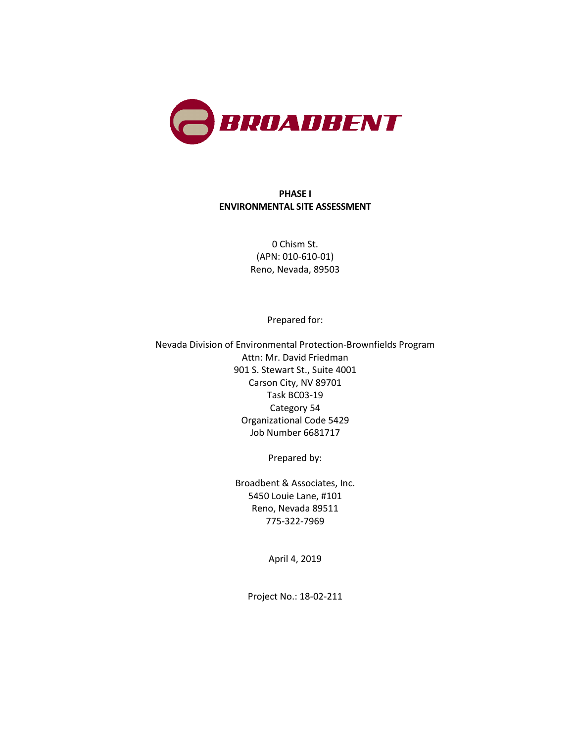

#### **PHASE I ENVIRONMENTAL SITE ASSESSMENT**

0 Chism St. (APN: 010-610-01) Reno, Nevada, 89503

Prepared for:

Nevada Division of Environmental Protection-Brownfields Program Attn: Mr. David Friedman 901 S. Stewart St., Suite 4001 Carson City, NV 89701 Task BC03-19 Category 54 Organizational Code 5429 Job Number 6681717

Prepared by:

Broadbent & Associates, Inc. 5450 Louie Lane, #101 Reno, Nevada 89511 775-322-7969

April 4, 2019

Project No.: 18-02-211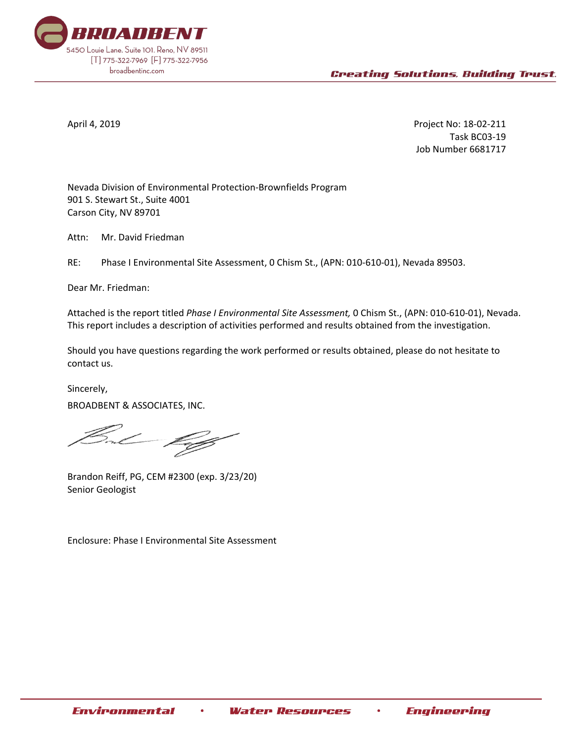

April 4, 2019 Project No: 18-02-211 Task BC03-19 Job Number 6681717

Nevada Division of Environmental Protection-Brownfields Program 901 S. Stewart St., Suite 4001 Carson City, NV 89701

Attn: Mr. David Friedman

RE: Phase I Environmental Site Assessment, 0 Chism St., (APN: 010-610-01), Nevada 89503.

Dear Mr. Friedman:

Attached is the report titled *Phase I Environmental Site Assessment,* 0 Chism St., (APN: 010-610-01), Nevada. This report includes a description of activities performed and results obtained from the investigation.

Should you have questions regarding the work performed or results obtained, please do not hesitate to contact us.

Sincerely, BROADBENT & ASSOCIATES, INC.

Brandon Reiff, PG, CEM #2300 (exp. 3/23/20) Senior Geologist

Enclosure: Phase I Environmental Site Assessment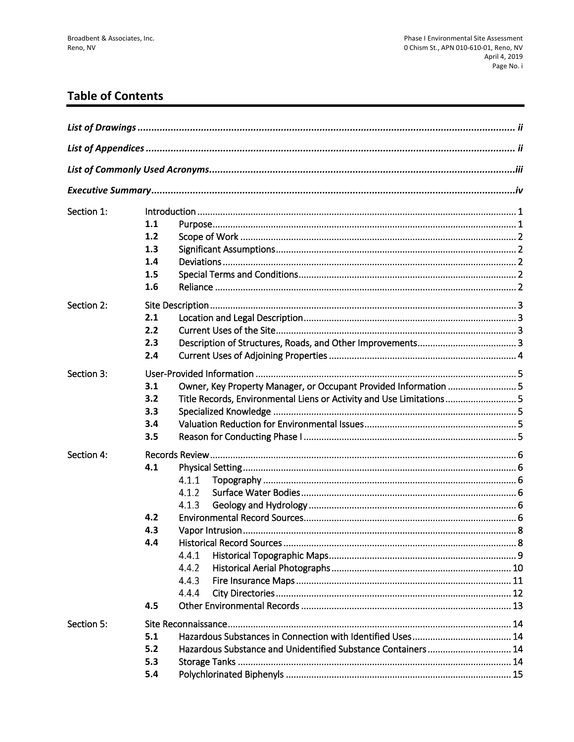# **Table of Contents**

| Section 1: |     |                                                                      |  |  |  |  |
|------------|-----|----------------------------------------------------------------------|--|--|--|--|
|            | 1.1 |                                                                      |  |  |  |  |
|            | 1.2 |                                                                      |  |  |  |  |
|            | 1.3 |                                                                      |  |  |  |  |
|            | 1.4 |                                                                      |  |  |  |  |
|            | 1.5 |                                                                      |  |  |  |  |
|            | 1.6 |                                                                      |  |  |  |  |
| Section 2: |     |                                                                      |  |  |  |  |
|            | 2.1 |                                                                      |  |  |  |  |
|            | 2.2 |                                                                      |  |  |  |  |
|            | 2.3 |                                                                      |  |  |  |  |
|            | 2.4 |                                                                      |  |  |  |  |
| Section 3: |     |                                                                      |  |  |  |  |
|            | 3.1 | Owner, Key Property Manager, or Occupant Provided Information  5     |  |  |  |  |
|            | 3.2 | Title Records, Environmental Liens or Activity and Use Limitations 5 |  |  |  |  |
|            | 3.3 |                                                                      |  |  |  |  |
|            | 3.4 |                                                                      |  |  |  |  |
|            | 3.5 |                                                                      |  |  |  |  |
| Section 4: |     |                                                                      |  |  |  |  |
|            | 4.1 |                                                                      |  |  |  |  |
|            |     | 4.1.1                                                                |  |  |  |  |
|            |     | 4.1.2                                                                |  |  |  |  |
|            |     | 4.1.3                                                                |  |  |  |  |
|            | 4.2 |                                                                      |  |  |  |  |
|            | 4.3 |                                                                      |  |  |  |  |
|            | 4.4 |                                                                      |  |  |  |  |
|            |     | 4.4.1                                                                |  |  |  |  |
|            |     | 4.4.2                                                                |  |  |  |  |
|            |     | 4.4.3                                                                |  |  |  |  |
|            |     | 4.4.4                                                                |  |  |  |  |
|            | 4.5 |                                                                      |  |  |  |  |
| Section 5: |     |                                                                      |  |  |  |  |
|            | 5.1 |                                                                      |  |  |  |  |
|            | 5.2 | Hazardous Substance and Unidentified Substance Containers  14        |  |  |  |  |
|            | 5.3 |                                                                      |  |  |  |  |
|            | 5.4 |                                                                      |  |  |  |  |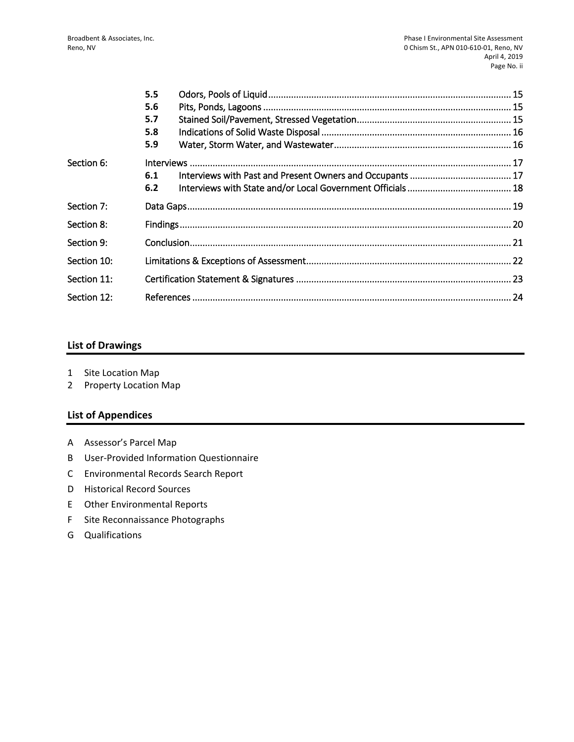|             | 5.5 |  |
|-------------|-----|--|
|             | 5.6 |  |
|             | 5.7 |  |
|             | 5.8 |  |
|             | 5.9 |  |
| Section 6:  |     |  |
|             | 6.1 |  |
|             | 6.2 |  |
| Section 7:  |     |  |
| Section 8:  |     |  |
| Section 9:  |     |  |
| Section 10: |     |  |
| Section 11: |     |  |
| Section 12: |     |  |

#### **List of Drawings**

- 1 Site Location Map
- 2 Property Location Map

#### **List of Appendices**

- A Assessor's Parcel Map
- B User-Provided Information Questionnaire
- C Environmental Records Search Report
- D Historical Record Sources
- E Other Environmental Reports
- F Site Reconnaissance Photographs
- G Qualifications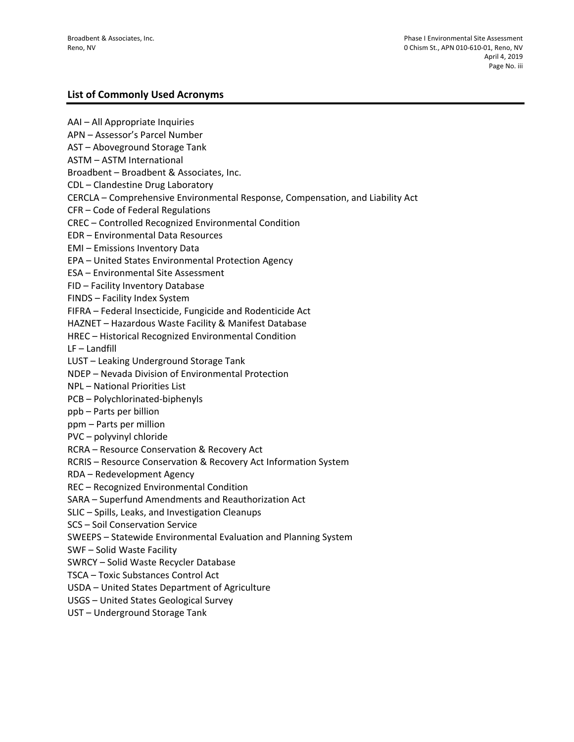#### **List of Commonly Used Acronyms**

AAI – All Appropriate Inquiries APN – Assessor's Parcel Number AST – Aboveground Storage Tank ASTM – ASTM International Broadbent – Broadbent & Associates, Inc. CDL – Clandestine Drug Laboratory CERCLA – Comprehensive Environmental Response, Compensation, and Liability Act CFR – Code of Federal Regulations CREC – Controlled Recognized Environmental Condition EDR – Environmental Data Resources EMI – Emissions Inventory Data EPA – United States Environmental Protection Agency ESA – Environmental Site Assessment FID – Facility Inventory Database FINDS – Facility Index System FIFRA – Federal Insecticide, Fungicide and Rodenticide Act HAZNET – Hazardous Waste Facility & Manifest Database HREC – Historical Recognized Environmental Condition LF – Landfill LUST – Leaking Underground Storage Tank NDEP – Nevada Division of Environmental Protection NPL – National Priorities List PCB – Polychlorinated-biphenyls ppb – Parts per billion ppm – Parts per million PVC – polyvinyl chloride RCRA – Resource Conservation & Recovery Act RCRIS – Resource Conservation & Recovery Act Information System RDA – Redevelopment Agency REC – Recognized Environmental Condition SARA – Superfund Amendments and Reauthorization Act SLIC – Spills, Leaks, and Investigation Cleanups SCS – Soil Conservation Service SWEEPS – Statewide Environmental Evaluation and Planning System SWF – Solid Waste Facility SWRCY – Solid Waste Recycler Database TSCA – Toxic Substances Control Act USDA – United States Department of Agriculture USGS – United States Geological Survey UST – Underground Storage Tank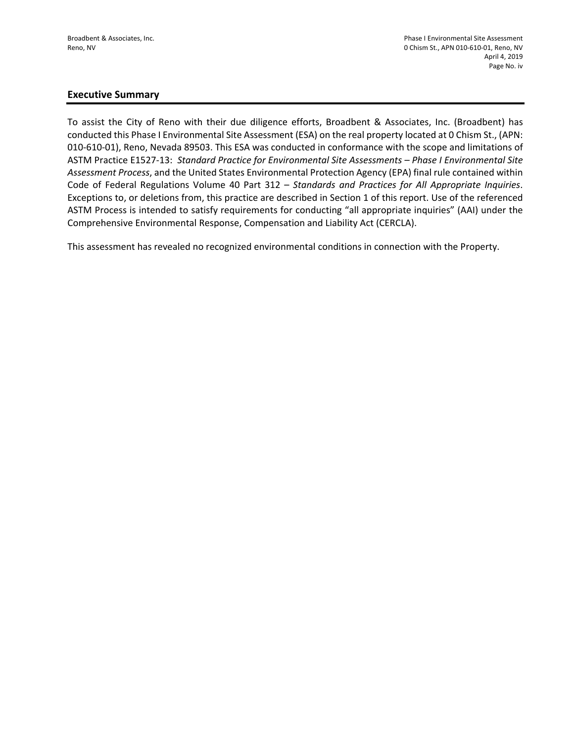#### **Executive Summary**

To assist the City of Reno with their due diligence efforts, Broadbent & Associates, Inc. (Broadbent) has conducted this Phase I Environmental Site Assessment (ESA) on the real property located at 0 Chism St., (APN: 010-610-01), Reno, Nevada 89503. This ESA was conducted in conformance with the scope and limitations of ASTM Practice E1527-13: *Standard Practice for Environmental Site Assessments – Phase I Environmental Site Assessment Process*, and the United States Environmental Protection Agency (EPA) final rule contained within Code of Federal Regulations Volume 40 Part 312 – *Standards and Practices for All Appropriate Inquiries*. Exceptions to, or deletions from, this practice are described in Section 1 of this report. Use of the referenced ASTM Process is intended to satisfy requirements for conducting "all appropriate inquiries" (AAI) under the Comprehensive Environmental Response, Compensation and Liability Act (CERCLA).

This assessment has revealed no recognized environmental conditions in connection with the Property.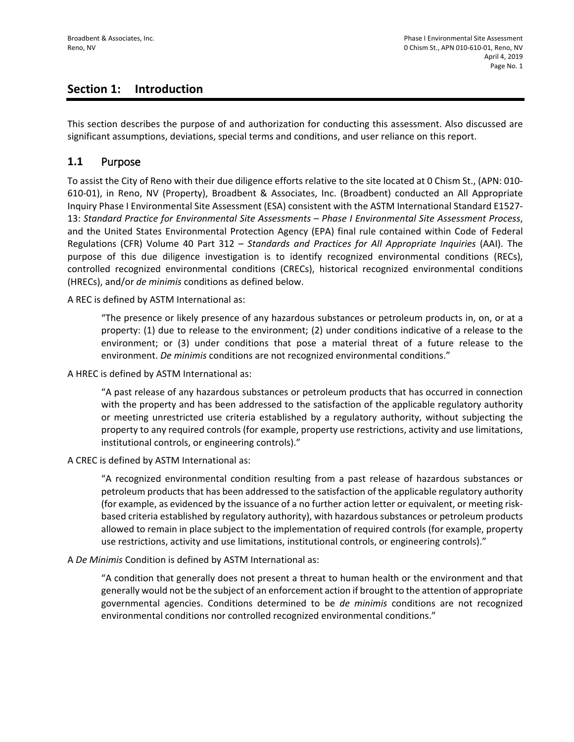## **Section 1: Introduction**

This section describes the purpose of and authorization for conducting this assessment. Also discussed are significant assumptions, deviations, special terms and conditions, and user reliance on this report.

#### **1.1** Purpose

To assist the City of Reno with their due diligence efforts relative to the site located at 0 Chism St., (APN: 010- 610-01), in Reno, NV (Property), Broadbent & Associates, Inc. (Broadbent) conducted an All Appropriate Inquiry Phase I Environmental Site Assessment (ESA) consistent with the ASTM International Standard E1527- 13: *Standard Practice for Environmental Site Assessments – Phase I Environmental Site Assessment Process*, and the United States Environmental Protection Agency (EPA) final rule contained within Code of Federal Regulations (CFR) Volume 40 Part 312 – *Standards and Practices for All Appropriate Inquiries* (AAI). The purpose of this due diligence investigation is to identify recognized environmental conditions (RECs), controlled recognized environmental conditions (CRECs), historical recognized environmental conditions (HRECs), and/or *de minimis* conditions as defined below.

A REC is defined by ASTM International as:

"The presence or likely presence of any hazardous substances or petroleum products in, on, or at a property: (1) due to release to the environment; (2) under conditions indicative of a release to the environment; or (3) under conditions that pose a material threat of a future release to the environment. *De minimis* conditions are not recognized environmental conditions."

A HREC is defined by ASTM International as:

"A past release of any hazardous substances or petroleum products that has occurred in connection with the property and has been addressed to the satisfaction of the applicable regulatory authority or meeting unrestricted use criteria established by a regulatory authority, without subjecting the property to any required controls (for example, property use restrictions, activity and use limitations, institutional controls, or engineering controls)."

A CREC is defined by ASTM International as:

"A recognized environmental condition resulting from a past release of hazardous substances or petroleum products that has been addressed to the satisfaction of the applicable regulatory authority (for example, as evidenced by the issuance of a no further action letter or equivalent, or meeting riskbased criteria established by regulatory authority), with hazardous substances or petroleum products allowed to remain in place subject to the implementation of required controls (for example, property use restrictions, activity and use limitations, institutional controls, or engineering controls)."

A *De Minimis* Condition is defined by ASTM International as:

"A condition that generally does not present a threat to human health or the environment and that generally would not be the subject of an enforcement action if brought to the attention of appropriate governmental agencies. Conditions determined to be *de minimis* conditions are not recognized environmental conditions nor controlled recognized environmental conditions."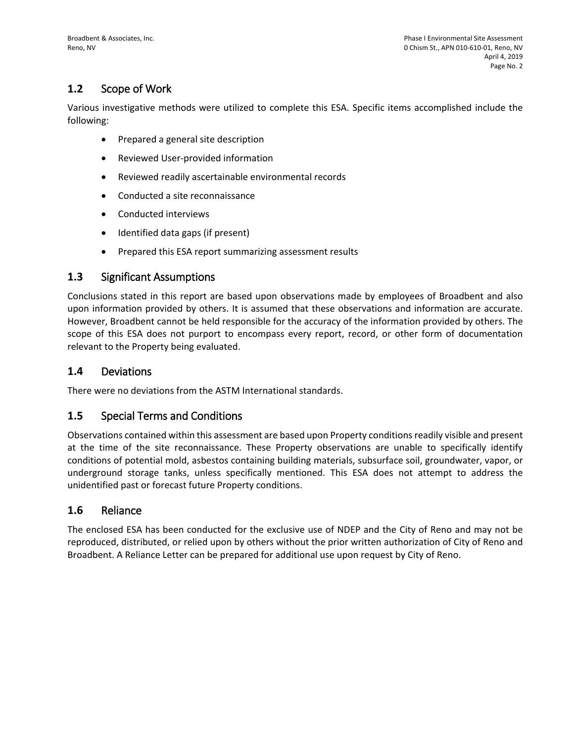## **1.2** Scope of Work

Various investigative methods were utilized to complete this ESA. Specific items accomplished include the following:

- Prepared a general site description
- Reviewed User-provided information
- Reviewed readily ascertainable environmental records
- Conducted a site reconnaissance
- Conducted interviews
- Identified data gaps (if present)
- Prepared this ESA report summarizing assessment results

#### **1.3** Significant Assumptions

Conclusions stated in this report are based upon observations made by employees of Broadbent and also upon information provided by others. It is assumed that these observations and information are accurate. However, Broadbent cannot be held responsible for the accuracy of the information provided by others. The scope of this ESA does not purport to encompass every report, record, or other form of documentation relevant to the Property being evaluated.

#### **1.4** Deviations

There were no deviations from the ASTM International standards.

#### **1.5** Special Terms and Conditions

Observations contained within this assessment are based upon Property conditions readily visible and present at the time of the site reconnaissance. These Property observations are unable to specifically identify conditions of potential mold, asbestos containing building materials, subsurface soil, groundwater, vapor, or underground storage tanks, unless specifically mentioned. This ESA does not attempt to address the unidentified past or forecast future Property conditions.

#### **1.6** Reliance

The enclosed ESA has been conducted for the exclusive use of NDEP and the City of Reno and may not be reproduced, distributed, or relied upon by others without the prior written authorization of City of Reno and Broadbent. A Reliance Letter can be prepared for additional use upon request by City of Reno.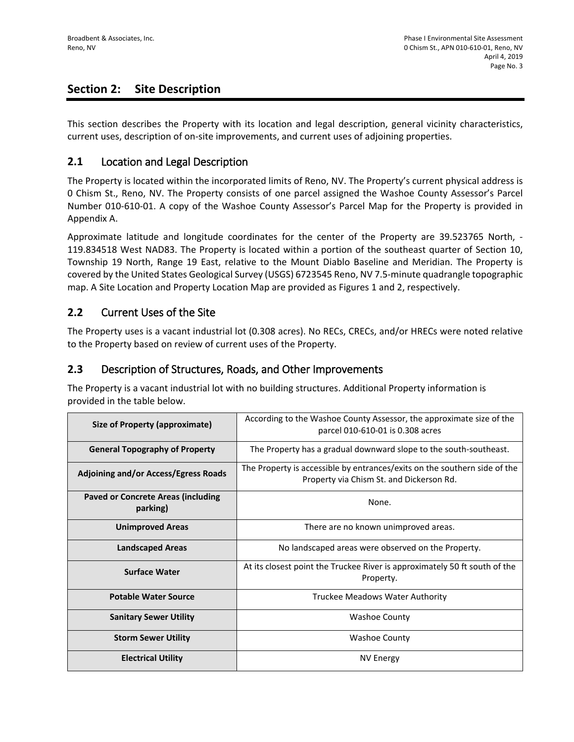## **Section 2: Site Description**

This section describes the Property with its location and legal description, general vicinity characteristics, current uses, description of on-site improvements, and current uses of adjoining properties.

#### **2.1** Location and Legal Description

The Property is located within the incorporated limits of Reno, NV. The Property's current physical address is 0 Chism St., Reno, NV. The Property consists of one parcel assigned the Washoe County Assessor's Parcel Number 010-610-01. A copy of the Washoe County Assessor's Parcel Map for the Property is provided in Appendix A.

Approximate latitude and longitude coordinates for the center of the Property are 39.523765 North, - 119.834518 West NAD83. The Property is located within a portion of the southeast quarter of Section 10, Township 19 North, Range 19 East, relative to the Mount Diablo Baseline and Meridian. The Property is covered by the United States Geological Survey (USGS) 6723545 Reno, NV 7.5-minute quadrangle topographic map. A Site Location and Property Location Map are provided as Figures 1 and 2, respectively.

#### **2.2** Current Uses of the Site

The Property uses is a vacant industrial lot (0.308 acres). No RECs, CRECs, and/or HRECs were noted relative to the Property based on review of current uses of the Property.

#### **2.3** Description of Structures, Roads, and Other Improvements

The Property is a vacant industrial lot with no building structures. Additional Property information is provided in the table below.

| <b>Size of Property (approximate)</b>                 | According to the Washoe County Assessor, the approximate size of the<br>parcel 010-610-01 is 0.308 acres              |  |  |
|-------------------------------------------------------|-----------------------------------------------------------------------------------------------------------------------|--|--|
| <b>General Topography of Property</b>                 | The Property has a gradual downward slope to the south-southeast.                                                     |  |  |
| <b>Adjoining and/or Access/Egress Roads</b>           | The Property is accessible by entrances/exits on the southern side of the<br>Property via Chism St. and Dickerson Rd. |  |  |
| <b>Paved or Concrete Areas (including</b><br>parking) | None.                                                                                                                 |  |  |
| <b>Unimproved Areas</b>                               | There are no known unimproved areas.                                                                                  |  |  |
| <b>Landscaped Areas</b>                               | No landscaped areas were observed on the Property.                                                                    |  |  |
| <b>Surface Water</b>                                  | At its closest point the Truckee River is approximately 50 ft south of the<br>Property.                               |  |  |
| <b>Potable Water Source</b>                           | Truckee Meadows Water Authority                                                                                       |  |  |
| <b>Sanitary Sewer Utility</b>                         | <b>Washoe County</b>                                                                                                  |  |  |
| <b>Storm Sewer Utility</b>                            | <b>Washoe County</b>                                                                                                  |  |  |
| <b>Electrical Utility</b>                             | NV Energy                                                                                                             |  |  |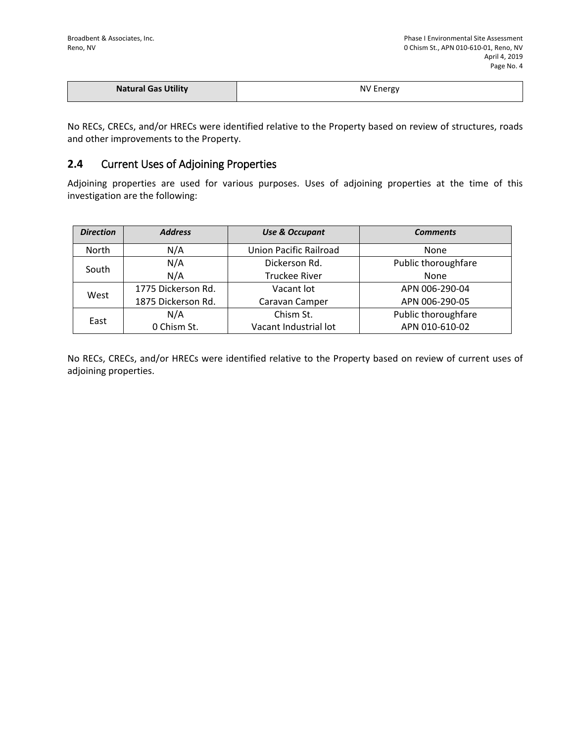| <b>Natural Gas Utility</b> | <b>NV Energy</b> |
|----------------------------|------------------|
|                            |                  |

No RECs, CRECs, and/or HRECs were identified relative to the Property based on review of structures, roads and other improvements to the Property.

#### **2.4** Current Uses of Adjoining Properties

Adjoining properties are used for various purposes. Uses of adjoining properties at the time of this investigation are the following:

| <b>Direction</b> | <b>Address</b>     | <b>Use &amp; Occupant</b> | <b>Comments</b>     |
|------------------|--------------------|---------------------------|---------------------|
| North            | N/A                | Union Pacific Railroad    | None                |
| South            | N/A                | Dickerson Rd.             | Public thoroughfare |
|                  | N/A                | <b>Truckee River</b>      | None                |
| West             | 1775 Dickerson Rd. | Vacant lot                | APN 006-290-04      |
|                  | 1875 Dickerson Rd. | Caravan Camper            | APN 006-290-05      |
| East             | N/A                | Chism St.                 | Public thoroughfare |
|                  | 0 Chism St.        | Vacant Industrial lot     | APN 010-610-02      |

No RECs, CRECs, and/or HRECs were identified relative to the Property based on review of current uses of adjoining properties.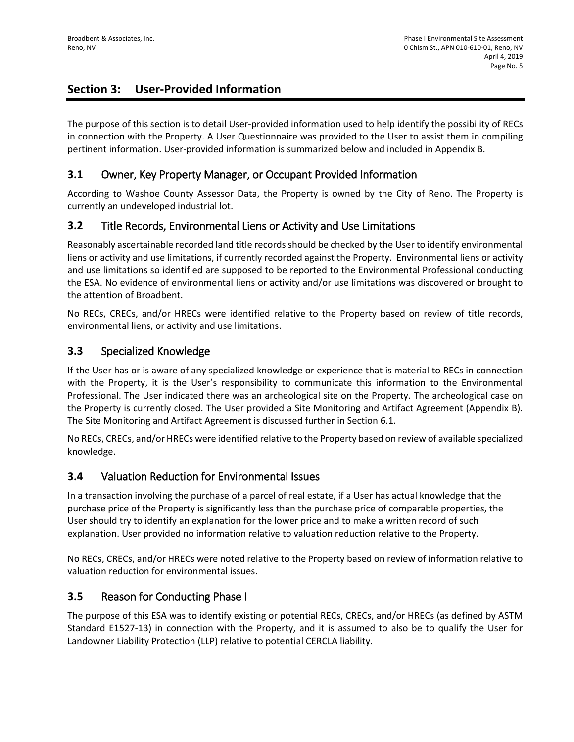## **Section 3: User-Provided Information**

The purpose of this section is to detail User-provided information used to help identify the possibility of RECs in connection with the Property. A User Questionnaire was provided to the User to assist them in compiling pertinent information. User-provided information is summarized below and included in Appendix B.

## **3.1** Owner, Key Property Manager, or Occupant Provided Information

According to Washoe County Assessor Data, the Property is owned by the City of Reno. The Property is currently an undeveloped industrial lot.

#### **3.2** Title Records, Environmental Liens or Activity and Use Limitations

Reasonably ascertainable recorded land title records should be checked by the User to identify environmental liens or activity and use limitations, if currently recorded against the Property. Environmental liens or activity and use limitations so identified are supposed to be reported to the Environmental Professional conducting the ESA. No evidence of environmental liens or activity and/or use limitations was discovered or brought to the attention of Broadbent.

No RECs, CRECs, and/or HRECs were identified relative to the Property based on review of title records, environmental liens, or activity and use limitations.

#### **3.3** Specialized Knowledge

If the User has or is aware of any specialized knowledge or experience that is material to RECs in connection with the Property, it is the User's responsibility to communicate this information to the Environmental Professional. The User indicated there was an archeological site on the Property. The archeological case on the Property is currently closed. The User provided a Site Monitoring and Artifact Agreement (Appendix B). The Site Monitoring and Artifact Agreement is discussed further in Section 6.1.

No RECs, CRECs, and/or HRECs were identified relative to the Property based on review of available specialized knowledge.

#### **3.4** Valuation Reduction for Environmental Issues

In a transaction involving the purchase of a parcel of real estate, if a User has actual knowledge that the purchase price of the Property is significantly less than the purchase price of comparable properties, the User should try to identify an explanation for the lower price and to make a written record of such explanation. User provided no information relative to valuation reduction relative to the Property.

No RECs, CRECs, and/or HRECs were noted relative to the Property based on review of information relative to valuation reduction for environmental issues.

## **3.5** Reason for Conducting Phase I

The purpose of this ESA was to identify existing or potential RECs, CRECs, and/or HRECs (as defined by ASTM Standard E1527-13) in connection with the Property, and it is assumed to also be to qualify the User for Landowner Liability Protection (LLP) relative to potential CERCLA liability.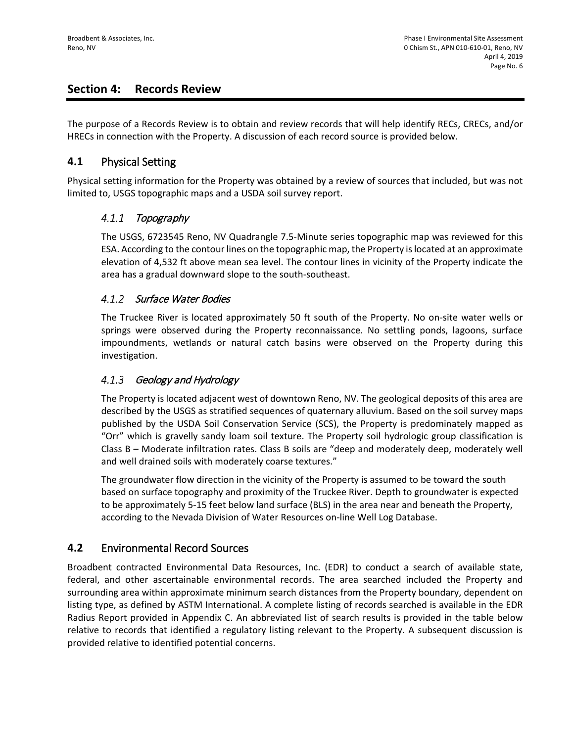## **Section 4: Records Review**

The purpose of a Records Review is to obtain and review records that will help identify RECs, CRECs, and/or HRECs in connection with the Property. A discussion of each record source is provided below.

#### **4.1** Physical Setting

Physical setting information for the Property was obtained by a review of sources that included, but was not limited to, USGS topographic maps and a USDA soil survey report.

#### $4.1.1$ Topography

The USGS, 6723545 Reno, NV Quadrangle 7.5-Minute series topographic map was reviewed for this ESA. According to the contour lines on the topographic map, the Property is located at an approximate elevation of 4,532 ft above mean sea level. The contour lines in vicinity of the Property indicate the area has a gradual downward slope to the south-southeast.

#### 4.1.2 Surface Water Bodies

The Truckee River is located approximately 50 ft south of the Property. No on-site water wells or springs were observed during the Property reconnaissance. No settling ponds, lagoons, surface impoundments, wetlands or natural catch basins were observed on the Property during this investigation.

#### $4.1.3$ Geology and Hydrology

The Property is located adjacent west of downtown Reno, NV. The geological deposits of this area are described by the USGS as stratified sequences of quaternary alluvium. Based on the soil survey maps published by the USDA Soil Conservation Service (SCS), the Property is predominately mapped as "Orr" which is gravelly sandy loam soil texture. The Property soil hydrologic group classification is Class B – Moderate infiltration rates. Class B soils are "deep and moderately deep, moderately well and well drained soils with moderately coarse textures."

The groundwater flow direction in the vicinity of the Property is assumed to be toward the south based on surface topography and proximity of the Truckee River. Depth to groundwater is expected to be approximately 5-15 feet below land surface (BLS) in the area near and beneath the Property, according to the Nevada Division of Water Resources on-line Well Log Database.

## **4.2** Environmental Record Sources

Broadbent contracted Environmental Data Resources, Inc. (EDR) to conduct a search of available state, federal, and other ascertainable environmental records. The area searched included the Property and surrounding area within approximate minimum search distances from the Property boundary, dependent on listing type, as defined by ASTM International. A complete listing of records searched is available in the EDR Radius Report provided in Appendix C. An abbreviated list of search results is provided in the table below relative to records that identified a regulatory listing relevant to the Property. A subsequent discussion is provided relative to identified potential concerns.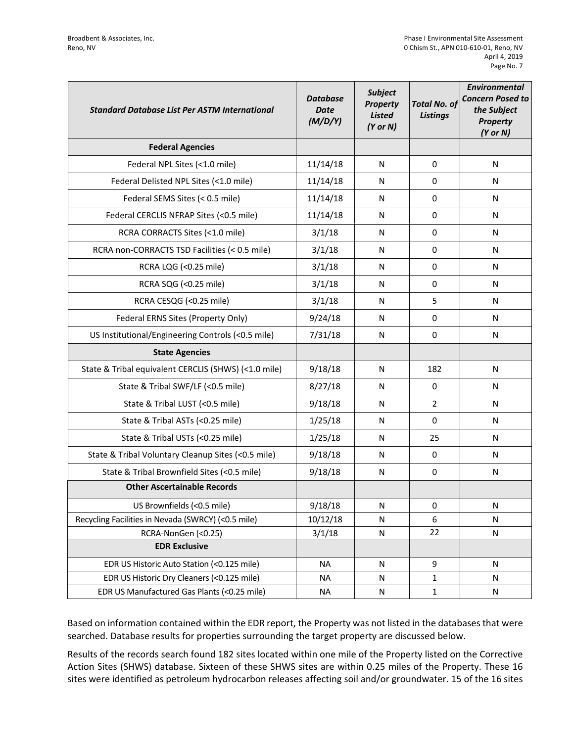| <b>Standard Database List Per ASTM International</b> | <b>Database</b><br><b>Date</b><br>(M/D/Y) | <b>Subject</b><br><b>Property</b><br><b>Listed</b><br>$(Y$ or $N)$ | <b>Total No. of</b><br><b>Listings</b> | <b>Environmental</b><br><b>Concern Posed to</b><br>the Subject<br><b>Property</b><br>$(Y$ or $N)$ |
|------------------------------------------------------|-------------------------------------------|--------------------------------------------------------------------|----------------------------------------|---------------------------------------------------------------------------------------------------|
| <b>Federal Agencies</b>                              |                                           |                                                                    |                                        |                                                                                                   |
| Federal NPL Sites (<1.0 mile)                        | 11/14/18                                  | N                                                                  | 0                                      | N                                                                                                 |
| Federal Delisted NPL Sites (<1.0 mile)               | 11/14/18                                  | N                                                                  | 0                                      | N                                                                                                 |
| Federal SEMS Sites (< 0.5 mile)                      | 11/14/18                                  | N                                                                  | 0                                      | N                                                                                                 |
| Federal CERCLIS NFRAP Sites (<0.5 mile)              | 11/14/18                                  | N                                                                  | 0                                      | N                                                                                                 |
| RCRA CORRACTS Sites (<1.0 mile)                      | 3/1/18                                    | N                                                                  | 0                                      | N                                                                                                 |
| RCRA non-CORRACTS TSD Facilities (< 0.5 mile)        | 3/1/18                                    | N                                                                  | $\Omega$                               | N                                                                                                 |
| RCRA LQG (<0.25 mile)                                | 3/1/18                                    | N                                                                  | 0                                      | N                                                                                                 |
| RCRA SQG (<0.25 mile)                                | 3/1/18                                    | N                                                                  | 0                                      | N                                                                                                 |
| RCRA CESQG (<0.25 mile)                              | 3/1/18                                    | N                                                                  | 5                                      | N                                                                                                 |
| Federal ERNS Sites (Property Only)                   | 9/24/18                                   | N                                                                  | $\Omega$                               | N                                                                                                 |
| US Institutional/Engineering Controls (<0.5 mile)    | 7/31/18                                   | N                                                                  | 0                                      | N                                                                                                 |
| <b>State Agencies</b>                                |                                           |                                                                    |                                        |                                                                                                   |
| State & Tribal equivalent CERCLIS (SHWS) (<1.0 mile) | 9/18/18                                   | N                                                                  | 182                                    | N                                                                                                 |
| State & Tribal SWF/LF (<0.5 mile)                    | 8/27/18                                   | N                                                                  | 0                                      | N                                                                                                 |
| State & Tribal LUST (<0.5 mile)                      | 9/18/18                                   | N                                                                  | $\overline{2}$                         | N                                                                                                 |
| State & Tribal ASTs (<0.25 mile)                     | 1/25/18                                   | N                                                                  | $\Omega$                               | N                                                                                                 |
| State & Tribal USTs (<0.25 mile)                     | 1/25/18                                   | N                                                                  | 25                                     | N                                                                                                 |
| State & Tribal Voluntary Cleanup Sites (<0.5 mile)   | 9/18/18                                   | N                                                                  | 0                                      | N                                                                                                 |
| State & Tribal Brownfield Sites (<0.5 mile)          | 9/18/18                                   | N                                                                  | 0                                      | N                                                                                                 |
| <b>Other Ascertainable Records</b>                   |                                           |                                                                    |                                        |                                                                                                   |
| US Brownfields (<0.5 mile)                           | 9/18/18                                   | N                                                                  | 0                                      | N                                                                                                 |
| Recycling Facilities in Nevada (SWRCY) (<0.5 mile)   | 10/12/18                                  | N                                                                  | 6                                      | N                                                                                                 |
| RCRA-NonGen (<0.25)                                  | 3/1/18                                    | ${\sf N}$                                                          | 22                                     | ${\sf N}$                                                                                         |
| <b>EDR Exclusive</b>                                 |                                           |                                                                    |                                        |                                                                                                   |
| EDR US Historic Auto Station (<0.125 mile)           | <b>NA</b>                                 | N                                                                  | 9                                      | N                                                                                                 |
| EDR US Historic Dry Cleaners (<0.125 mile)           | <b>NA</b>                                 | ${\sf N}$                                                          | $\mathbf{1}$                           | N                                                                                                 |
| EDR US Manufactured Gas Plants (<0.25 mile)          | <b>NA</b>                                 | ${\sf N}$                                                          | $\mathbf{1}$                           | N                                                                                                 |

Based on information contained within the EDR report, the Property was not listed in the databases that were searched. Database results for properties surrounding the target property are discussed below.

Results of the records search found 182 sites located within one mile of the Property listed on the Corrective Action Sites (SHWS) database. Sixteen of these SHWS sites are within 0.25 miles of the Property. These 16 sites were identified as petroleum hydrocarbon releases affecting soil and/or groundwater. 15 of the 16 sites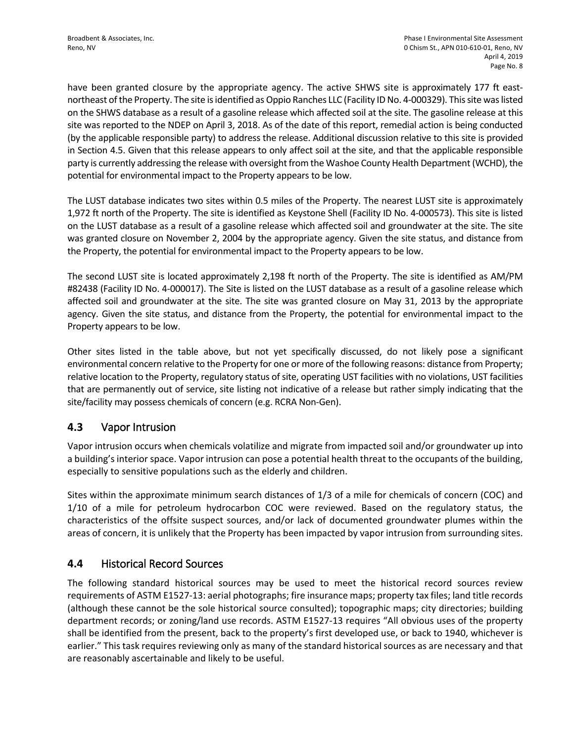have been granted closure by the appropriate agency. The active SHWS site is approximately 177 ft eastnortheast of the Property. The site is identified as Oppio Ranches LLC (Facility ID No. 4-000329). This site was listed on the SHWS database as a result of a gasoline release which affected soil at the site. The gasoline release at this site was reported to the NDEP on April 3, 2018. As of the date of this report, remedial action is being conducted (by the applicable responsible party) to address the release. Additional discussion relative to this site is provided in Section 4.5. Given that this release appears to only affect soil at the site, and that the applicable responsible party is currently addressing the release with oversight from the Washoe County Health Department (WCHD), the potential for environmental impact to the Property appears to be low.

The LUST database indicates two sites within 0.5 miles of the Property. The nearest LUST site is approximately 1,972 ft north of the Property. The site is identified as Keystone Shell (Facility ID No. 4-000573). This site is listed on the LUST database as a result of a gasoline release which affected soil and groundwater at the site. The site was granted closure on November 2, 2004 by the appropriate agency. Given the site status, and distance from the Property, the potential for environmental impact to the Property appears to be low.

The second LUST site is located approximately 2,198 ft north of the Property. The site is identified as AM/PM #82438 (Facility ID No. 4-000017). The Site is listed on the LUST database as a result of a gasoline release which affected soil and groundwater at the site. The site was granted closure on May 31, 2013 by the appropriate agency. Given the site status, and distance from the Property, the potential for environmental impact to the Property appears to be low.

Other sites listed in the table above, but not yet specifically discussed, do not likely pose a significant environmental concern relative to the Property for one or more of the following reasons: distance from Property; relative location to the Property, regulatory status of site, operating UST facilities with no violations, UST facilities that are permanently out of service, site listing not indicative of a release but rather simply indicating that the site/facility may possess chemicals of concern (e.g. RCRA Non-Gen).

## **4.3** Vapor Intrusion

Vapor intrusion occurs when chemicals volatilize and migrate from impacted soil and/or groundwater up into a building's interior space. Vapor intrusion can pose a potential health threat to the occupants of the building, especially to sensitive populations such as the elderly and children.

Sites within the approximate minimum search distances of 1/3 of a mile for chemicals of concern (COC) and 1/10 of a mile for petroleum hydrocarbon COC were reviewed. Based on the regulatory status, the characteristics of the offsite suspect sources, and/or lack of documented groundwater plumes within the areas of concern, it is unlikely that the Property has been impacted by vapor intrusion from surrounding sites.

## **4.4** Historical Record Sources

The following standard historical sources may be used to meet the historical record sources review requirements of ASTM E1527-13: aerial photographs; fire insurance maps; property tax files; land title records (although these cannot be the sole historical source consulted); topographic maps; city directories; building department records; or zoning/land use records. ASTM E1527-13 requires "All obvious uses of the property shall be identified from the present, back to the property's first developed use, or back to 1940, whichever is earlier." This task requires reviewing only as many of the standard historical sources as are necessary and that are reasonably ascertainable and likely to be useful.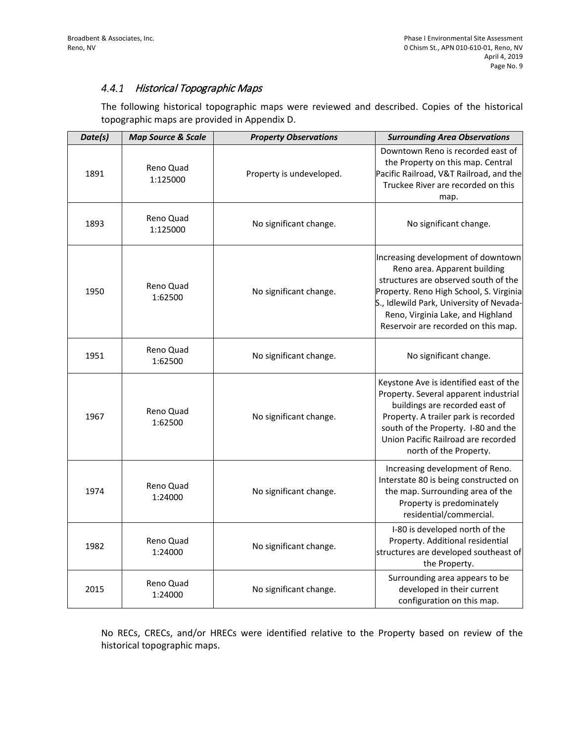#### 4.4.1 Historical Topographic Maps

The following historical topographic maps were reviewed and described. Copies of the historical topographic maps are provided in Appendix D.

| Date(s) | <b>Map Source &amp; Scale</b> | <b>Property Observations</b> | <b>Surrounding Area Observations</b>                                                                                                                                                                                                                                          |
|---------|-------------------------------|------------------------------|-------------------------------------------------------------------------------------------------------------------------------------------------------------------------------------------------------------------------------------------------------------------------------|
| 1891    | Reno Quad<br>1:125000         | Property is undeveloped.     | Downtown Reno is recorded east of<br>the Property on this map. Central<br>Pacific Railroad, V&T Railroad, and the<br>Truckee River are recorded on this<br>map.                                                                                                               |
| 1893    | Reno Quad<br>1:125000         | No significant change.       | No significant change.                                                                                                                                                                                                                                                        |
| 1950    | Reno Quad<br>1:62500          | No significant change.       | Increasing development of downtown<br>Reno area. Apparent building<br>structures are observed south of the<br>Property. Reno High School, S. Virginia<br>S., Idlewild Park, University of Nevada-<br>Reno, Virginia Lake, and Highland<br>Reservoir are recorded on this map. |
| 1951    | Reno Quad<br>1:62500          | No significant change.       | No significant change.                                                                                                                                                                                                                                                        |
| 1967    | Reno Quad<br>1:62500          | No significant change.       | Keystone Ave is identified east of the<br>Property. Several apparent industrial<br>buildings are recorded east of<br>Property. A trailer park is recorded<br>south of the Property. I-80 and the<br>Union Pacific Railroad are recorded<br>north of the Property.             |
| 1974    | Reno Quad<br>1:24000          | No significant change.       | Increasing development of Reno.<br>Interstate 80 is being constructed on<br>the map. Surrounding area of the<br>Property is predominately<br>residential/commercial.                                                                                                          |
| 1982    | Reno Quad<br>1:24000          | No significant change.       | I-80 is developed north of the<br>Property. Additional residential<br>structures are developed southeast of<br>the Property.                                                                                                                                                  |
| 2015    | Reno Quad<br>1:24000          | No significant change.       | Surrounding area appears to be<br>developed in their current<br>configuration on this map.                                                                                                                                                                                    |

No RECs, CRECs, and/or HRECs were identified relative to the Property based on review of the historical topographic maps.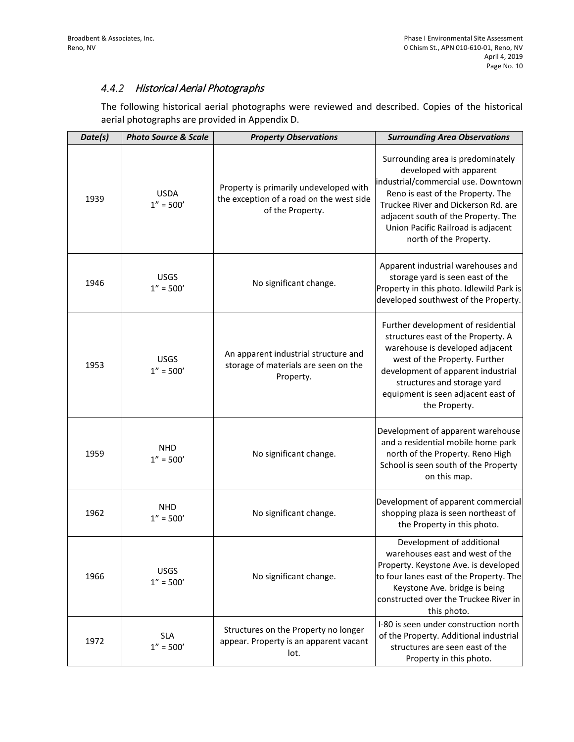#### 4.4.2 Historical Aerial Photographs

The following historical aerial photographs were reviewed and described. Copies of the historical aerial photographs are provided in Appendix D.

| Date(s) | <b>Photo Source &amp; Scale</b> | <b>Property Observations</b>                                                                           | <b>Surrounding Area Observations</b>                                                                                                                                                                                                                                                   |  |  |
|---------|---------------------------------|--------------------------------------------------------------------------------------------------------|----------------------------------------------------------------------------------------------------------------------------------------------------------------------------------------------------------------------------------------------------------------------------------------|--|--|
| 1939    | <b>USDA</b><br>$1'' = 500'$     | Property is primarily undeveloped with<br>the exception of a road on the west side<br>of the Property. | Surrounding area is predominately<br>developed with apparent<br>industrial/commercial use. Downtown<br>Reno is east of the Property. The<br>Truckee River and Dickerson Rd. are<br>adjacent south of the Property. The<br>Union Pacific Railroad is adjacent<br>north of the Property. |  |  |
| 1946    | <b>USGS</b><br>$1'' = 500'$     | No significant change.                                                                                 | Apparent industrial warehouses and<br>storage yard is seen east of the<br>Property in this photo. Idlewild Park is<br>developed southwest of the Property.                                                                                                                             |  |  |
| 1953    | <b>USGS</b><br>$1'' = 500'$     | An apparent industrial structure and<br>storage of materials are seen on the<br>Property.              | Further development of residential<br>structures east of the Property. A<br>warehouse is developed adjacent<br>west of the Property. Further<br>development of apparent industrial<br>structures and storage yard<br>equipment is seen adjacent east of<br>the Property.               |  |  |
| 1959    | <b>NHD</b><br>$1'' = 500'$      | No significant change.                                                                                 | Development of apparent warehouse<br>and a residential mobile home park<br>north of the Property. Reno High<br>School is seen south of the Property<br>on this map.                                                                                                                    |  |  |
| 1962    | <b>NHD</b><br>$1'' = 500'$      | No significant change.                                                                                 | Development of apparent commercial<br>shopping plaza is seen northeast of<br>the Property in this photo.                                                                                                                                                                               |  |  |
| 1966    | <b>USGS</b><br>$1'' = 500'$     | No significant change.                                                                                 | Development of additional<br>warehouses east and west of the<br>Property. Keystone Ave. is developed<br>to four lanes east of the Property. The<br>Keystone Ave. bridge is being<br>constructed over the Truckee River in<br>this photo.                                               |  |  |
| 1972    | <b>SLA</b><br>$1'' = 500'$      | Structures on the Property no longer<br>appear. Property is an apparent vacant<br>lot.                 | I-80 is seen under construction north<br>of the Property. Additional industrial<br>structures are seen east of the<br>Property in this photo.                                                                                                                                          |  |  |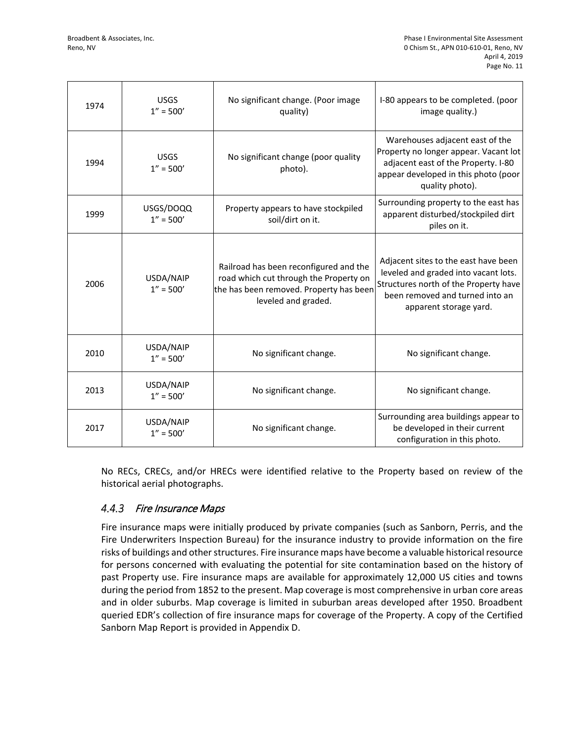| 1974 | <b>USGS</b><br>$1'' = 500'$ | No significant change. (Poor image<br>quality)                                                                                                     | I-80 appears to be completed. (poor<br>image quality.)                                                                                                                             |
|------|-----------------------------|----------------------------------------------------------------------------------------------------------------------------------------------------|------------------------------------------------------------------------------------------------------------------------------------------------------------------------------------|
| 1994 | <b>USGS</b><br>$1'' = 500'$ | No significant change (poor quality<br>photo).                                                                                                     | Warehouses adjacent east of the<br>Property no longer appear. Vacant lot<br>adjacent east of the Property. I-80<br>appear developed in this photo (poor<br>quality photo).         |
| 1999 | USGS/DOQQ<br>$1'' = 500'$   | Property appears to have stockpiled<br>soil/dirt on it.                                                                                            | Surrounding property to the east has<br>apparent disturbed/stockpiled dirt<br>piles on it.                                                                                         |
| 2006 | USDA/NAIP<br>$1'' = 500'$   | Railroad has been reconfigured and the<br>road which cut through the Property on<br>the has been removed. Property has been<br>leveled and graded. | Adjacent sites to the east have been<br>leveled and graded into vacant lots.<br>Structures north of the Property have<br>been removed and turned into an<br>apparent storage yard. |
| 2010 | USDA/NAIP<br>$1'' = 500'$   | No significant change.                                                                                                                             | No significant change.                                                                                                                                                             |
| 2013 | USDA/NAIP<br>$1'' = 500'$   | No significant change.                                                                                                                             | No significant change.                                                                                                                                                             |
| 2017 | USDA/NAIP<br>$1'' = 500'$   | No significant change.                                                                                                                             | Surrounding area buildings appear to<br>be developed in their current<br>configuration in this photo.                                                                              |

No RECs, CRECs, and/or HRECs were identified relative to the Property based on review of the historical aerial photographs.

#### 4.4.3 Fire Insurance Maps

Fire insurance maps were initially produced by private companies (such as Sanborn, Perris, and the Fire Underwriters Inspection Bureau) for the insurance industry to provide information on the fire risks of buildings and other structures. Fire insurance maps have become a valuable historical resource for persons concerned with evaluating the potential for site contamination based on the history of past Property use. Fire insurance maps are available for approximately 12,000 US cities and towns during the period from 1852 to the present. Map coverage is most comprehensive in urban core areas and in older suburbs. Map coverage is limited in suburban areas developed after 1950. Broadbent queried EDR's collection of fire insurance maps for coverage of the Property. A copy of the Certified Sanborn Map Report is provided in Appendix D.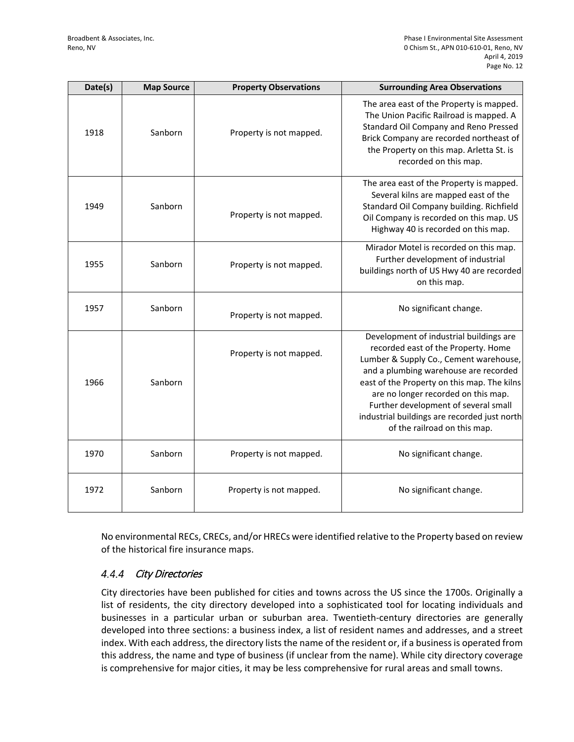| Date(s) | <b>Map Source</b> | <b>Property Observations</b> | <b>Surrounding Area Observations</b>                                                                                                                                                                                                                                                                                                                                            |
|---------|-------------------|------------------------------|---------------------------------------------------------------------------------------------------------------------------------------------------------------------------------------------------------------------------------------------------------------------------------------------------------------------------------------------------------------------------------|
| 1918    | Sanborn           | Property is not mapped.      | The area east of the Property is mapped.<br>The Union Pacific Railroad is mapped. A<br>Standard Oil Company and Reno Pressed<br>Brick Company are recorded northeast of<br>the Property on this map. Arletta St. is<br>recorded on this map.                                                                                                                                    |
| 1949    | Sanborn           | Property is not mapped.      | The area east of the Property is mapped.<br>Several kilns are mapped east of the<br>Standard Oil Company building. Richfield<br>Oil Company is recorded on this map. US<br>Highway 40 is recorded on this map.                                                                                                                                                                  |
| 1955    | Sanborn           | Property is not mapped.      | Mirador Motel is recorded on this map.<br>Further development of industrial<br>buildings north of US Hwy 40 are recorded<br>on this map.                                                                                                                                                                                                                                        |
| 1957    | Sanborn           | Property is not mapped.      | No significant change.                                                                                                                                                                                                                                                                                                                                                          |
| 1966    | Sanborn           | Property is not mapped.      | Development of industrial buildings are<br>recorded east of the Property. Home<br>Lumber & Supply Co., Cement warehouse,<br>and a plumbing warehouse are recorded<br>east of the Property on this map. The kilns<br>are no longer recorded on this map.<br>Further development of several small<br>industrial buildings are recorded just north<br>of the railroad on this map. |
| 1970    | Sanborn           | Property is not mapped.      | No significant change.                                                                                                                                                                                                                                                                                                                                                          |
| 1972    | Sanborn           | Property is not mapped.      | No significant change.                                                                                                                                                                                                                                                                                                                                                          |

No environmental RECs, CRECs, and/or HRECs were identified relative to the Property based on review of the historical fire insurance maps.

#### 4.4.4 City Directories

City directories have been published for cities and towns across the US since the 1700s. Originally a list of residents, the city directory developed into a sophisticated tool for locating individuals and businesses in a particular urban or suburban area. Twentieth-century directories are generally developed into three sections: a business index, a list of resident names and addresses, and a street index. With each address, the directory lists the name of the resident or, if a business is operated from this address, the name and type of business (if unclear from the name). While city directory coverage is comprehensive for major cities, it may be less comprehensive for rural areas and small towns.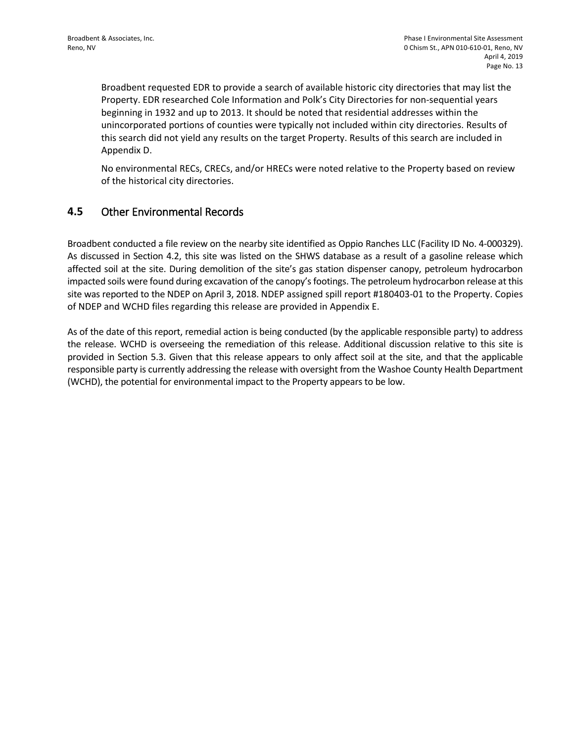Broadbent requested EDR to provide a search of available historic city directories that may list the Property. EDR researched Cole Information and Polk's City Directories for non-sequential years beginning in 1932 and up to 2013. It should be noted that residential addresses within the unincorporated portions of counties were typically not included within city directories. Results of this search did not yield any results on the target Property. Results of this search are included in Appendix D.

No environmental RECs, CRECs, and/or HRECs were noted relative to the Property based on review of the historical city directories.

#### **4.5** Other Environmental Records

Broadbent conducted a file review on the nearby site identified as Oppio Ranches LLC (Facility ID No. 4-000329). As discussed in Section 4.2, this site was listed on the SHWS database as a result of a gasoline release which affected soil at the site. During demolition of the site's gas station dispenser canopy, petroleum hydrocarbon impacted soils were found during excavation of the canopy's footings. The petroleum hydrocarbon release at this site was reported to the NDEP on April 3, 2018. NDEP assigned spill report #180403-01 to the Property. Copies of NDEP and WCHD files regarding this release are provided in Appendix E.

As of the date of this report, remedial action is being conducted (by the applicable responsible party) to address the release. WCHD is overseeing the remediation of this release. Additional discussion relative to this site is provided in Section 5.3. Given that this release appears to only affect soil at the site, and that the applicable responsible party is currently addressing the release with oversight from the Washoe County Health Department (WCHD), the potential for environmental impact to the Property appears to be low.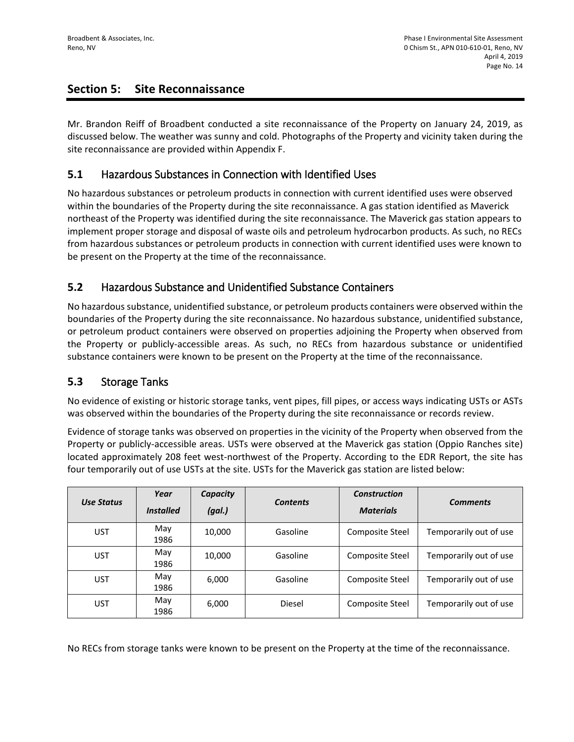## **Section 5: Site Reconnaissance**

Mr. Brandon Reiff of Broadbent conducted a site reconnaissance of the Property on January 24, 2019, as discussed below. The weather was sunny and cold. Photographs of the Property and vicinity taken during the site reconnaissance are provided within Appendix F.

## **5.1** Hazardous Substances in Connection with Identified Uses

No hazardous substances or petroleum products in connection with current identified uses were observed within the boundaries of the Property during the site reconnaissance. A gas station identified as Maverick northeast of the Property was identified during the site reconnaissance. The Maverick gas station appears to implement proper storage and disposal of waste oils and petroleum hydrocarbon products. As such, no RECs from hazardous substances or petroleum products in connection with current identified uses were known to be present on the Property at the time of the reconnaissance.

## **5.2** Hazardous Substance and Unidentified Substance Containers

No hazardous substance, unidentified substance, or petroleum products containers were observed within the boundaries of the Property during the site reconnaissance. No hazardous substance, unidentified substance, or petroleum product containers were observed on properties adjoining the Property when observed from the Property or publicly-accessible areas. As such, no RECs from hazardous substance or unidentified substance containers were known to be present on the Property at the time of the reconnaissance.

## **5.3** Storage Tanks

No evidence of existing or historic storage tanks, vent pipes, fill pipes, or access ways indicating USTs or ASTs was observed within the boundaries of the Property during the site reconnaissance or records review.

Evidence of storage tanks was observed on properties in the vicinity of the Property when observed from the Property or publicly-accessible areas. USTs were observed at the Maverick gas station (Oppio Ranches site) located approximately 208 feet west-northwest of the Property. According to the EDR Report, the site has four temporarily out of use USTs at the site. USTs for the Maverick gas station are listed below:

| Use Status | Year<br><i><b>Installed</b></i> | Capacity<br>(gal.) | <b>Contents</b> | <b>Construction</b><br><b>Materials</b> | <b>Comments</b>        |
|------------|---------------------------------|--------------------|-----------------|-----------------------------------------|------------------------|
| <b>UST</b> | May<br>1986                     | 10,000             | Gasoline        | Composite Steel                         | Temporarily out of use |
| <b>UST</b> | May<br>1986                     | 10,000             | Gasoline        | Composite Steel                         | Temporarily out of use |
| <b>UST</b> | May<br>1986                     | 6,000              | Gasoline        | <b>Composite Steel</b>                  | Temporarily out of use |
| <b>UST</b> | May<br>1986                     | 6,000              | Diesel          | Composite Steel                         | Temporarily out of use |

No RECs from storage tanks were known to be present on the Property at the time of the reconnaissance.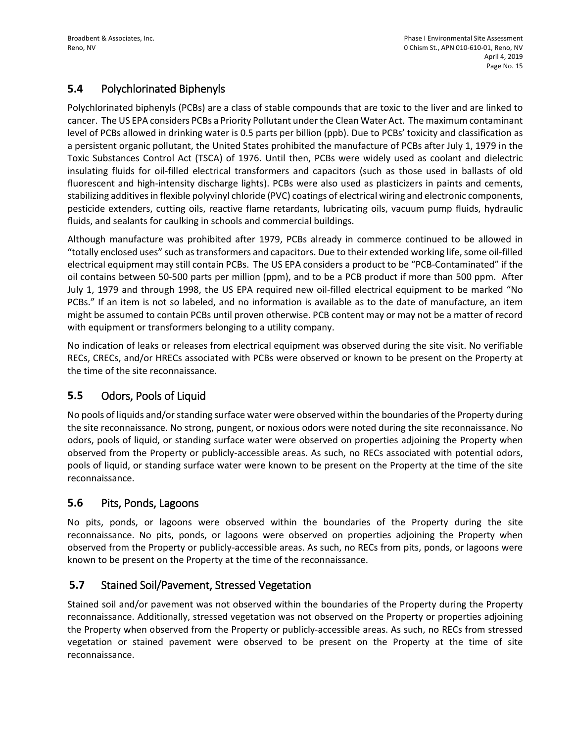## **5.4** Polychlorinated Biphenyls

Polychlorinated biphenyls (PCBs) are a class of stable compounds that are toxic to the liver and are linked to cancer. The US EPA considers PCBs a Priority Pollutant under the Clean Water Act. The maximum contaminant level of PCBs allowed in drinking water is 0.5 parts per billion (ppb). Due to PCBs' toxicity and classification as a persistent organic pollutant, the United States prohibited the manufacture of PCBs after July 1, 1979 in the Toxic Substances Control Act (TSCA) of 1976. Until then, PCBs were widely used as coolant and dielectric insulating fluids for oil-filled electrical transformers and capacitors (such as those used in ballasts of old fluorescent and high-intensity discharge lights). PCBs were also used as plasticizers in paints and cements, stabilizing additives in flexible polyvinyl chloride (PVC) coatings of electrical wiring and electronic components, pesticide extenders, cutting oils, reactive flame retardants, lubricating oils, vacuum pump fluids, hydraulic fluids, and sealants for caulking in schools and commercial buildings.

Although manufacture was prohibited after 1979, PCBs already in commerce continued to be allowed in "totally enclosed uses" such as transformers and capacitors. Due to their extended working life, some oil-filled electrical equipment may still contain PCBs. The US EPA considers a product to be "PCB-Contaminated" if the oil contains between 50-500 parts per million (ppm), and to be a PCB product if more than 500 ppm. After July 1, 1979 and through 1998, the US EPA required new oil-filled electrical equipment to be marked "No PCBs." If an item is not so labeled, and no information is available as to the date of manufacture, an item might be assumed to contain PCBs until proven otherwise. PCB content may or may not be a matter of record with equipment or transformers belonging to a utility company.

No indication of leaks or releases from electrical equipment was observed during the site visit. No verifiable RECs, CRECs, and/or HRECs associated with PCBs were observed or known to be present on the Property at the time of the site reconnaissance.

## **5.5** Odors, Pools of Liquid

No pools of liquids and/or standing surface water were observed within the boundaries of the Property during the site reconnaissance. No strong, pungent, or noxious odors were noted during the site reconnaissance. No odors, pools of liquid, or standing surface water were observed on properties adjoining the Property when observed from the Property or publicly-accessible areas. As such, no RECs associated with potential odors, pools of liquid, or standing surface water were known to be present on the Property at the time of the site reconnaissance.

#### **5.6** Pits, Ponds, Lagoons

No pits, ponds, or lagoons were observed within the boundaries of the Property during the site reconnaissance. No pits, ponds, or lagoons were observed on properties adjoining the Property when observed from the Property or publicly-accessible areas. As such, no RECs from pits, ponds, or lagoons were known to be present on the Property at the time of the reconnaissance.

## **5.7** Stained Soil/Pavement, Stressed Vegetation

Stained soil and/or pavement was not observed within the boundaries of the Property during the Property reconnaissance. Additionally, stressed vegetation was not observed on the Property or properties adjoining the Property when observed from the Property or publicly-accessible areas. As such, no RECs from stressed vegetation or stained pavement were observed to be present on the Property at the time of site reconnaissance.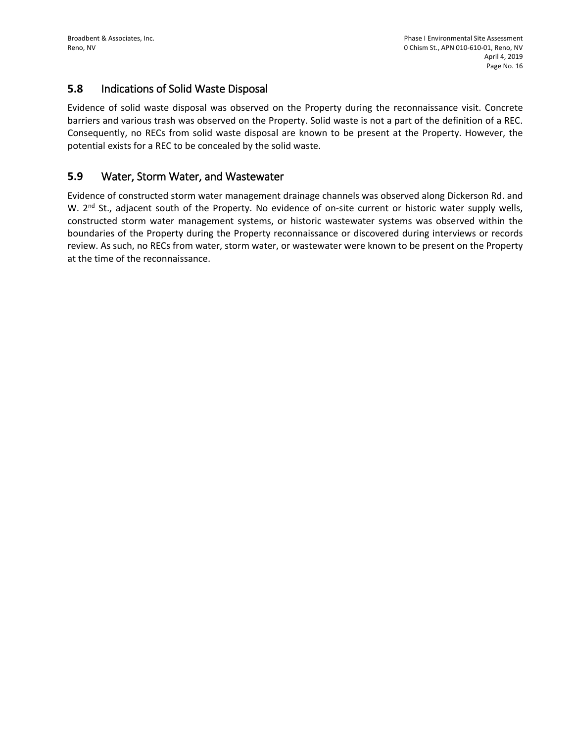#### **5.8** Indications of Solid Waste Disposal

Evidence of solid waste disposal was observed on the Property during the reconnaissance visit. Concrete barriers and various trash was observed on the Property. Solid waste is not a part of the definition of a REC. Consequently, no RECs from solid waste disposal are known to be present at the Property. However, the potential exists for a REC to be concealed by the solid waste.

#### **5.9** Water, Storm Water, and Wastewater

Evidence of constructed storm water management drainage channels was observed along Dickerson Rd. and W.  $2<sup>nd</sup>$  St., adjacent south of the Property. No evidence of on-site current or historic water supply wells, constructed storm water management systems, or historic wastewater systems was observed within the boundaries of the Property during the Property reconnaissance or discovered during interviews or records review. As such, no RECs from water, storm water, or wastewater were known to be present on the Property at the time of the reconnaissance.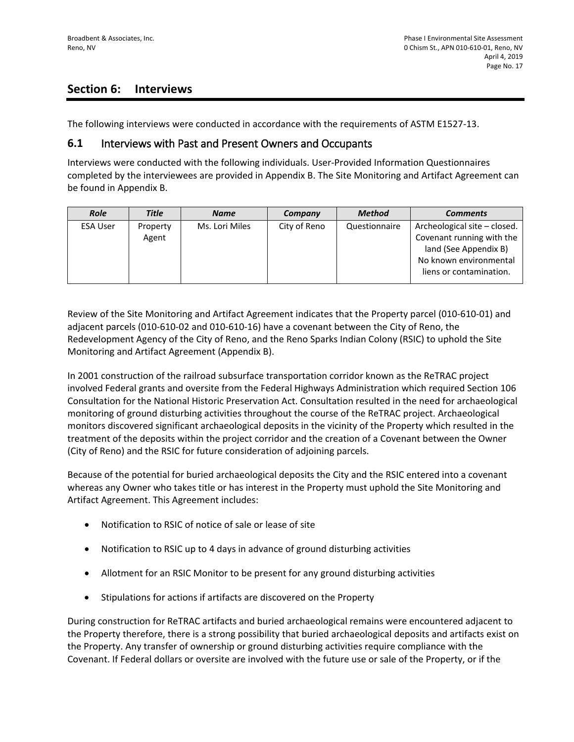## **Section 6: Interviews**

The following interviews were conducted in accordance with the requirements of ASTM E1527-13.

#### **6.1** Interviews with Past and Present Owners and Occupants

Interviews were conducted with the following individuals. User-Provided Information Questionnaires completed by the interviewees are provided in Appendix B. The Site Monitoring and Artifact Agreement can be found in Appendix B.

| <b>Role</b>     | <b>Title</b> | <b>Name</b>    | Company      | <b>Method</b> | <b>Comments</b>              |
|-----------------|--------------|----------------|--------------|---------------|------------------------------|
| <b>ESA User</b> | Property     | Ms. Lori Miles | City of Reno | Questionnaire | Archeological site – closed. |
|                 | Agent        |                |              |               | Covenant running with the    |
|                 |              |                |              |               | land (See Appendix B)        |
|                 |              |                |              |               | No known environmental       |
|                 |              |                |              |               | liens or contamination.      |
|                 |              |                |              |               |                              |

Review of the Site Monitoring and Artifact Agreement indicates that the Property parcel (010-610-01) and adjacent parcels (010-610-02 and 010-610-16) have a covenant between the City of Reno, the Redevelopment Agency of the City of Reno, and the Reno Sparks Indian Colony (RSIC) to uphold the Site Monitoring and Artifact Agreement (Appendix B).

In 2001 construction of the railroad subsurface transportation corridor known as the ReTRAC project involved Federal grants and oversite from the Federal Highways Administration which required Section 106 Consultation for the National Historic Preservation Act. Consultation resulted in the need for archaeological monitoring of ground disturbing activities throughout the course of the ReTRAC project. Archaeological monitors discovered significant archaeological deposits in the vicinity of the Property which resulted in the treatment of the deposits within the project corridor and the creation of a Covenant between the Owner (City of Reno) and the RSIC for future consideration of adjoining parcels.

Because of the potential for buried archaeological deposits the City and the RSIC entered into a covenant whereas any Owner who takes title or has interest in the Property must uphold the Site Monitoring and Artifact Agreement. This Agreement includes:

- Notification to RSIC of notice of sale or lease of site
- Notification to RSIC up to 4 days in advance of ground disturbing activities
- Allotment for an RSIC Monitor to be present for any ground disturbing activities
- Stipulations for actions if artifacts are discovered on the Property

During construction for ReTRAC artifacts and buried archaeological remains were encountered adjacent to the Property therefore, there is a strong possibility that buried archaeological deposits and artifacts exist on the Property. Any transfer of ownership or ground disturbing activities require compliance with the Covenant. If Federal dollars or oversite are involved with the future use or sale of the Property, or if the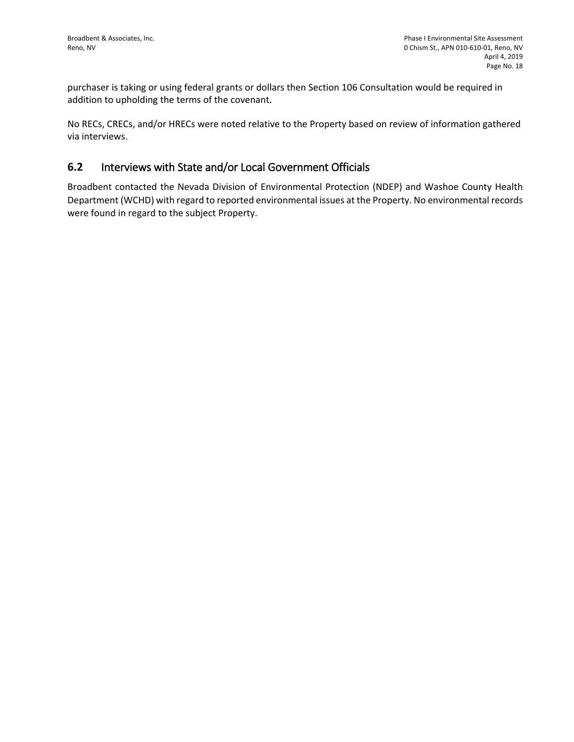purchaser is taking or using federal grants or dollars then Section 106 Consultation would be required in addition to upholding the terms of the covenant.

No RECs, CRECs, and/or HRECs were noted relative to the Property based on review of information gathered via interviews.

## **6.2** Interviews with State and/or Local Government Officials

Broadbent contacted the Nevada Division of Environmental Protection (NDEP) and Washoe County Health Department (WCHD) with regard to reported environmental issues at the Property. No environmental records were found in regard to the subject Property.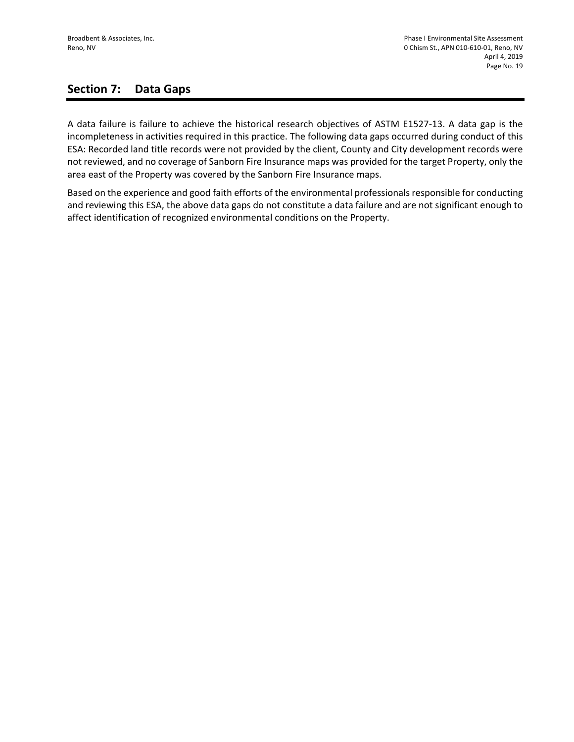## **Section 7: Data Gaps**

A data failure is failure to achieve the historical research objectives of ASTM E1527-13. A data gap is the incompleteness in activities required in this practice. The following data gaps occurred during conduct of this ESA: Recorded land title records were not provided by the client, County and City development records were not reviewed, and no coverage of Sanborn Fire Insurance maps was provided for the target Property, only the area east of the Property was covered by the Sanborn Fire Insurance maps.

Based on the experience and good faith efforts of the environmental professionals responsible for conducting and reviewing this ESA, the above data gaps do not constitute a data failure and are not significant enough to affect identification of recognized environmental conditions on the Property.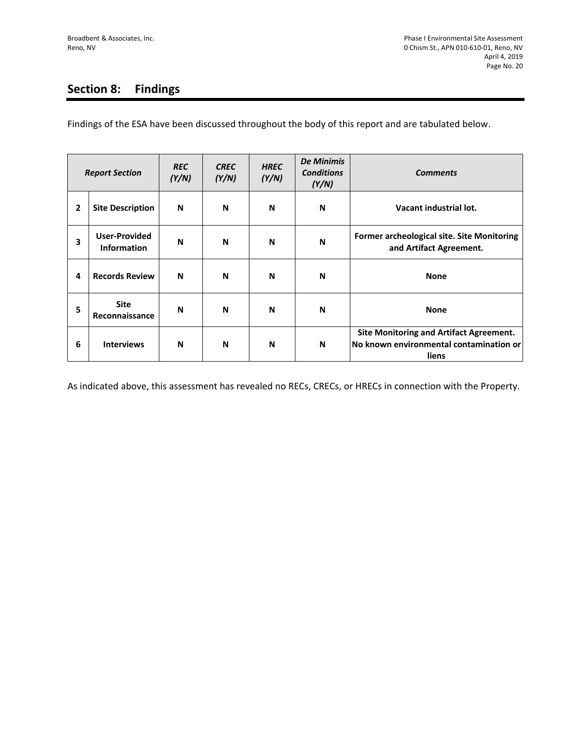# **Section 8: Findings**

Findings of the ESA have been discussed throughout the body of this report and are tabulated below.

| <b>Report Section</b> |                                     | <b>REC</b><br>(Y/N) | <b>CREC</b><br>(Y/N) | <b>HREC</b><br>(Y/N) | <b>De Minimis</b><br><b>Conditions</b><br>(Y/N) | <b>Comments</b>                                                                                    |
|-----------------------|-------------------------------------|---------------------|----------------------|----------------------|-------------------------------------------------|----------------------------------------------------------------------------------------------------|
| 2                     | <b>Site Description</b>             | N                   | N                    | N                    | N                                               | Vacant industrial lot.                                                                             |
| 3                     | <b>User-Provided</b><br>Information | N                   | N                    | N                    | N                                               | Former archeological site. Site Monitoring<br>and Artifact Agreement.                              |
| 4                     | <b>Records Review</b>               | N                   | N                    | N                    | N                                               | <b>None</b>                                                                                        |
| 5                     | <b>Site</b><br>Reconnaissance       | N                   | N                    | N                    | N                                               | <b>None</b>                                                                                        |
| 6                     | <b>Interviews</b>                   | N                   | N                    | N                    | N                                               | <b>Site Monitoring and Artifact Agreement.</b><br>No known environmental contamination or<br>liens |

As indicated above, this assessment has revealed no RECs, CRECs, or HRECs in connection with the Property.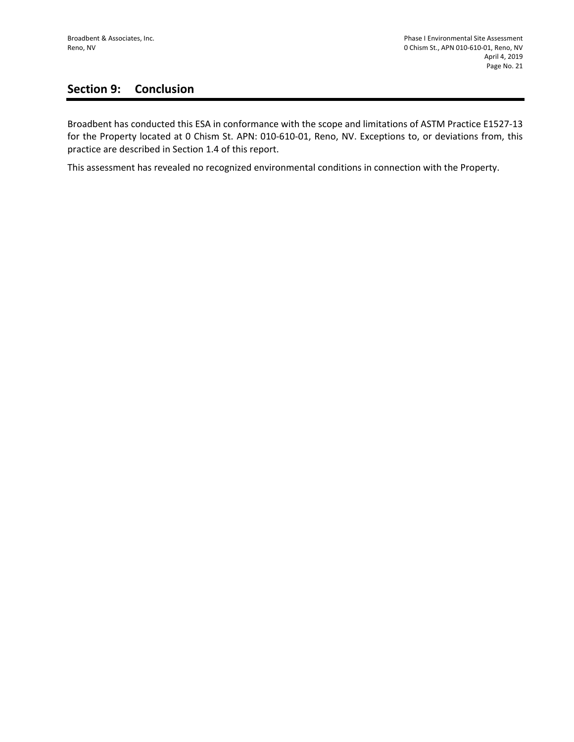# **Section 9: Conclusion**

Broadbent has conducted this ESA in conformance with the scope and limitations of ASTM Practice E1527-13 for the Property located at 0 Chism St. APN: 010-610-01, Reno, NV. Exceptions to, or deviations from, this practice are described in Section 1.4 of this report.

This assessment has revealed no recognized environmental conditions in connection with the Property.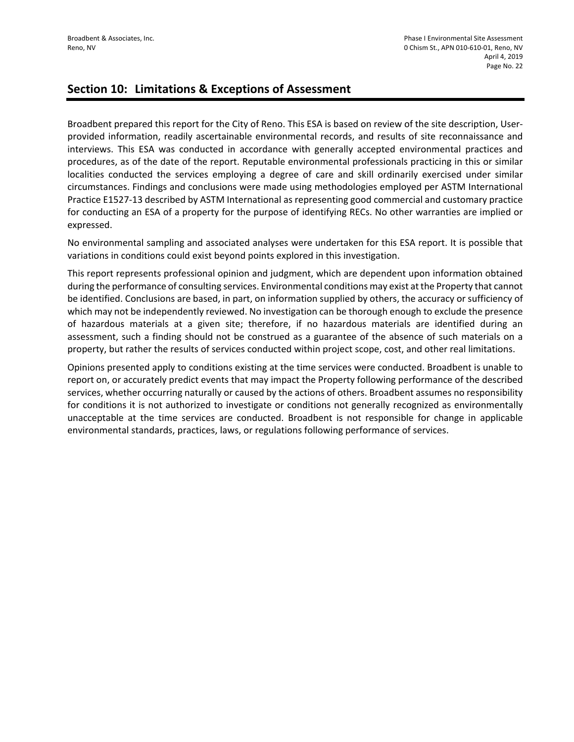#### **Section 10: Limitations & Exceptions of Assessment**

Broadbent prepared this report for the City of Reno. This ESA is based on review of the site description, Userprovided information, readily ascertainable environmental records, and results of site reconnaissance and interviews. This ESA was conducted in accordance with generally accepted environmental practices and procedures, as of the date of the report. Reputable environmental professionals practicing in this or similar localities conducted the services employing a degree of care and skill ordinarily exercised under similar circumstances. Findings and conclusions were made using methodologies employed per ASTM International Practice E1527-13 described by ASTM International as representing good commercial and customary practice for conducting an ESA of a property for the purpose of identifying RECs. No other warranties are implied or expressed.

No environmental sampling and associated analyses were undertaken for this ESA report. It is possible that variations in conditions could exist beyond points explored in this investigation.

This report represents professional opinion and judgment, which are dependent upon information obtained during the performance of consulting services. Environmental conditions may exist at the Property that cannot be identified. Conclusions are based, in part, on information supplied by others, the accuracy or sufficiency of which may not be independently reviewed. No investigation can be thorough enough to exclude the presence of hazardous materials at a given site; therefore, if no hazardous materials are identified during an assessment, such a finding should not be construed as a guarantee of the absence of such materials on a property, but rather the results of services conducted within project scope, cost, and other real limitations.

Opinions presented apply to conditions existing at the time services were conducted. Broadbent is unable to report on, or accurately predict events that may impact the Property following performance of the described services, whether occurring naturally or caused by the actions of others. Broadbent assumes no responsibility for conditions it is not authorized to investigate or conditions not generally recognized as environmentally unacceptable at the time services are conducted. Broadbent is not responsible for change in applicable environmental standards, practices, laws, or regulations following performance of services.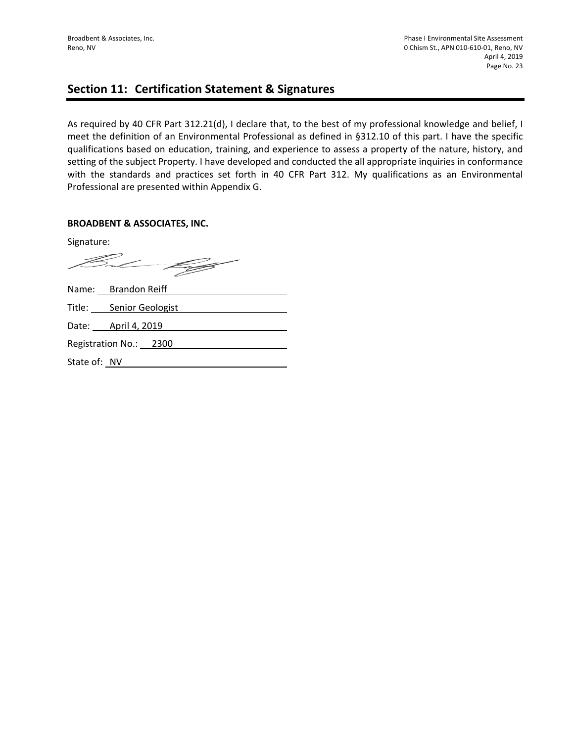## **Section 11: Certification Statement & Signatures**

As required by 40 CFR Part 312.21(d), I declare that, to the best of my professional knowledge and belief, I meet the definition of an Environmental Professional as defined in §312.10 of this part. I have the specific qualifications based on education, training, and experience to assess a property of the nature, history, and setting of the subject Property. I have developed and conducted the all appropriate inquiries in conformance with the standards and practices set forth in 40 CFR Part 312. My qualifications as an Environmental Professional are presented within Appendix G.

#### **BROADBENT & ASSOCIATES, INC.**

Signature: Fn L Name: Brandon Reiff Title: Senior Geologist Date: <u>April 4, 2019</u> Registration No.: 2300 State of: NV